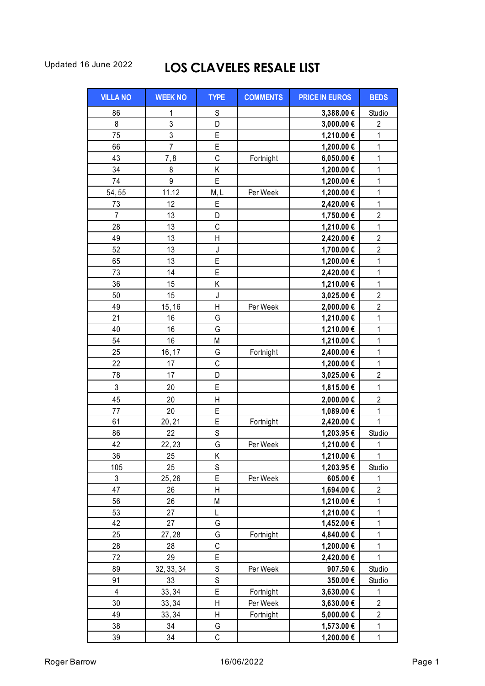## Updated 16 June 2022 **LOS CLAVELES RESALE LIST**

| <b>VILLA NO</b> | <b>WEEK NO</b> | <b>TYPE</b>  | <b>COMMENTS</b> | <b>PRICE IN EUROS</b> | <b>BEDS</b>    |
|-----------------|----------------|--------------|-----------------|-----------------------|----------------|
| 86              | 1              | $\mathsf S$  |                 | 3,388.00€             | Studio         |
| 8               | 3              | D            |                 | 3,000.00 €            | $\overline{c}$ |
| 75              | 3              | E            |                 | 1,210.00 €            | $\mathbf{1}$   |
| 66              | $\overline{7}$ | E            |                 | 1,200.00 €            | $\mathbf{1}$   |
| 43              | 7,8            | C            | Fortnight       | 6,050.00€             | $\mathbf 1$    |
| 34              | 8              | Κ            |                 | 1,200.00 €            | $\mathbf{1}$   |
| 74              | 9              | Ė            |                 | 1,200.00 €            | $\mathbf{1}$   |
| 54,55           | 11.12          | M, L         | Per Week        | 1,200.00 €            | $\mathbf 1$    |
| 73              | 12             | E            |                 | 2,420.00 €            | $\mathbf{1}$   |
| $\overline{7}$  | 13             | D            |                 | 1,750.00 €            | $\overline{2}$ |
| 28              | 13             | $\mathsf C$  |                 | 1,210.00 €            | $\mathbf 1$    |
| 49              | 13             | Η            |                 | 2,420.00 €            | $\overline{c}$ |
| 52              | 13             | J            |                 | 1,700.00 €            | $\overline{2}$ |
| 65              | 13             | E            |                 | 1,200.00 €            | $\mathbf{1}$   |
| 73              | 14             | E            |                 | 2,420.00 €            | $\mathbf{1}$   |
| 36              | 15             | Κ            |                 | 1,210.00 €            | $\mathbf{1}$   |
| 50              | 15             | J            |                 | 3,025.00€             | $\overline{c}$ |
| 49              | 15, 16         | $\mathsf{H}$ | Per Week        | 2,000.00€             | $\overline{c}$ |
| 21              | 16             | G            |                 | 1,210.00 €            | $\mathbf{1}$   |
| 40              | 16             | G            |                 | 1,210.00 €            | $\mathbf{1}$   |
| 54              | 16             | M            |                 | 1,210.00 €            | $\mathbf{1}$   |
| 25              | 16, 17         | G            | Fortnight       | 2,400.00 €            | $\mathbf{1}$   |
| 22              | 17             | C            |                 | 1,200.00 €            | $\mathbf 1$    |
| 78              | 17             | D            |                 | 3,025.00 €            | $\overline{c}$ |
| 3               | 20             | E            |                 | 1,815.00 €            | 1              |
| 45              | 20             | $\mathsf{H}$ |                 | 2,000.00€             | $\overline{2}$ |
| 77              | 20             | E            |                 | 1,089.00€             | $\mathbf{1}$   |
| 61              | 20, 21         | E            | Fortnight       | 2,420.00 €            | 1              |
| 86              | 22             | S            |                 | 1,203.95€             | Studio         |
| 42              | 22,23          | G            | Per Week        | 1,210.00 €            | 1              |
| 36              | 25             | K            |                 | 1,210.00 €            | $\overline{A}$ |
| 105             | 25             | S            |                 | 1,203.95€             | Studio         |
| 3               | 25,26          | E            | Per Week        | 605.00€               | 1              |
| 47              | 26             | $\mathsf{H}$ |                 | 1,694.00 €            | $\overline{c}$ |
| 56              | 26             | M            |                 | 1,210.00 €            | 1              |
| 53              | 27             | L            |                 | 1,210.00 €            | $\mathbf{1}$   |
| 42              | 27             | G            |                 | 1,452.00 €            | 1              |
| 25              | 27,28          | G            | Fortnight       | 4,840.00 €            | 1              |
| 28              | 28             | C            |                 | 1,200.00 €            | 1              |
| 72              | 29             | E            |                 | 2,420.00 €            | 1              |
| 89              | 32, 33, 34     | S            | Per Week        | 907.50€               | Studio         |
| 91              | 33             | S            |                 | 350.00€               | Studio         |
| 4               | 33, 34         | E            | Fortnight       | 3,630.00 €            | 1              |
| 30              | 33, 34         | Н            | Per Week        | 3,630.00 €            | $\mathbf{2}$   |
| 49              | 33, 34         | Н            | Fortnight       | 5,000.00 €            | $\overline{2}$ |
| 38              | 34             | G            |                 | 1,573.00 €            | 1              |
| 39              | 34             | C            |                 | 1,200.00 €            | $\mathbf{1}$   |